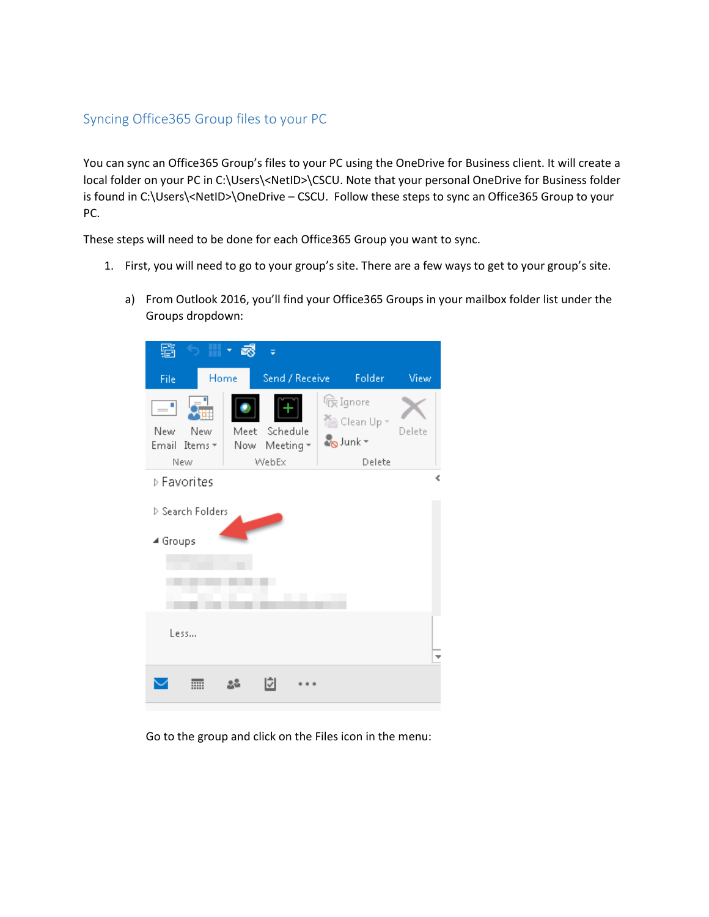## Syncing Office365 Group files to your PC

You can sync an Office365 Group's files to your PC using the OneDrive for Business client. It will create a local folder on your PC in C:\Users\<NetID>\CSCU. Note that your personal OneDrive for Business folder is found in C:\Users\<NetID>\OneDrive – CSCU. Follow these steps to sync an Office365 Group to your PC.

These steps will need to be done for each Office365 Group you want to sync.

- 1. First, you will need to go to your group's site. There are a few ways to get to your group's site.
	- a) From Outlook 2016, you'll find your Office365 Groups in your mailbox folder list under the Groups dropdown:



Go to the group and click on the Files icon in the menu: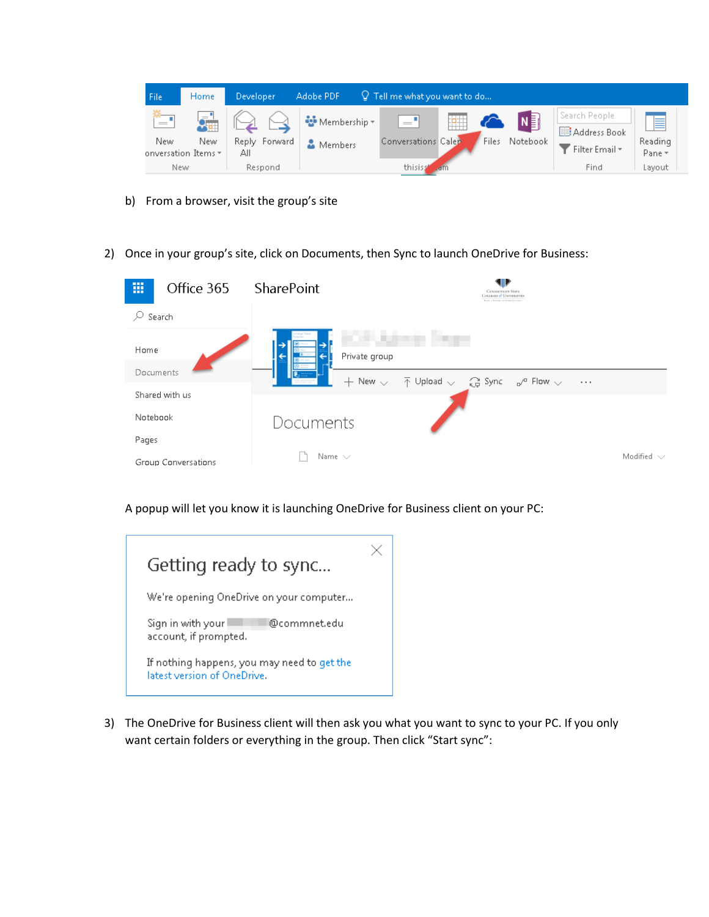

- b) From a browser, visit the group's site
- 2) Once in your group's site, click on Documents, then Sync to launch OneDrive for Business:



A popup will let you know it is launching OneDrive for Business client on your PC:

| Getting ready to sync                                                      |  |
|----------------------------------------------------------------------------|--|
| We're opening OneDrive on your computer                                    |  |
| @commnet.edu<br>Sign in with your<br>account, if prompted.                 |  |
| If nothing happens, you may need to get the<br>latest version of OneDrive. |  |

3) The OneDrive for Business client will then ask you what you want to sync to your PC. If you only want certain folders or everything in the group. Then click "Start sync":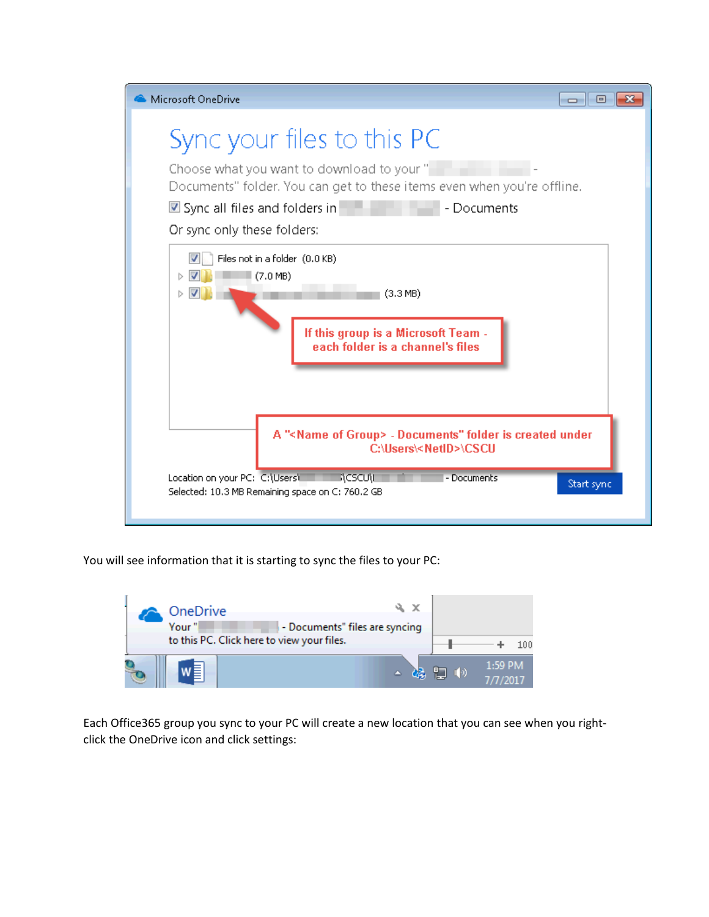

You will see information that it is starting to sync the files to your PC:



Each Office365 group you sync to your PC will create a new location that you can see when you rightclick the OneDrive icon and click settings: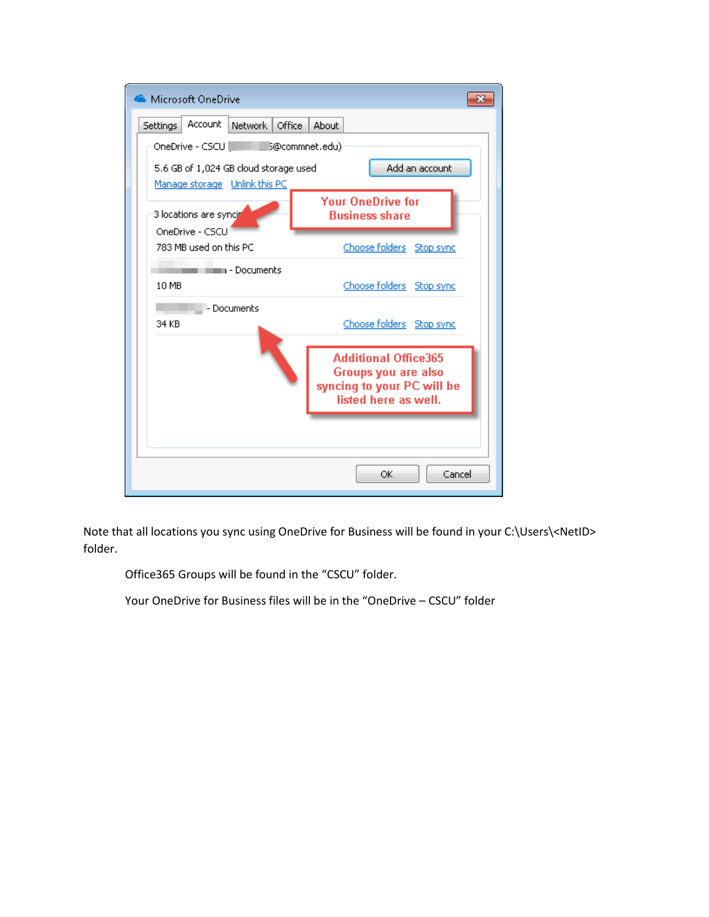

Note that all locations you sync using OneDrive for Business will be found in your C:\Users\<NetID> folder.

Office365 Groups will be found in the "CSCU" folder.

Your OneDrive for Business files will be in the "OneDrive – CSCU" folder